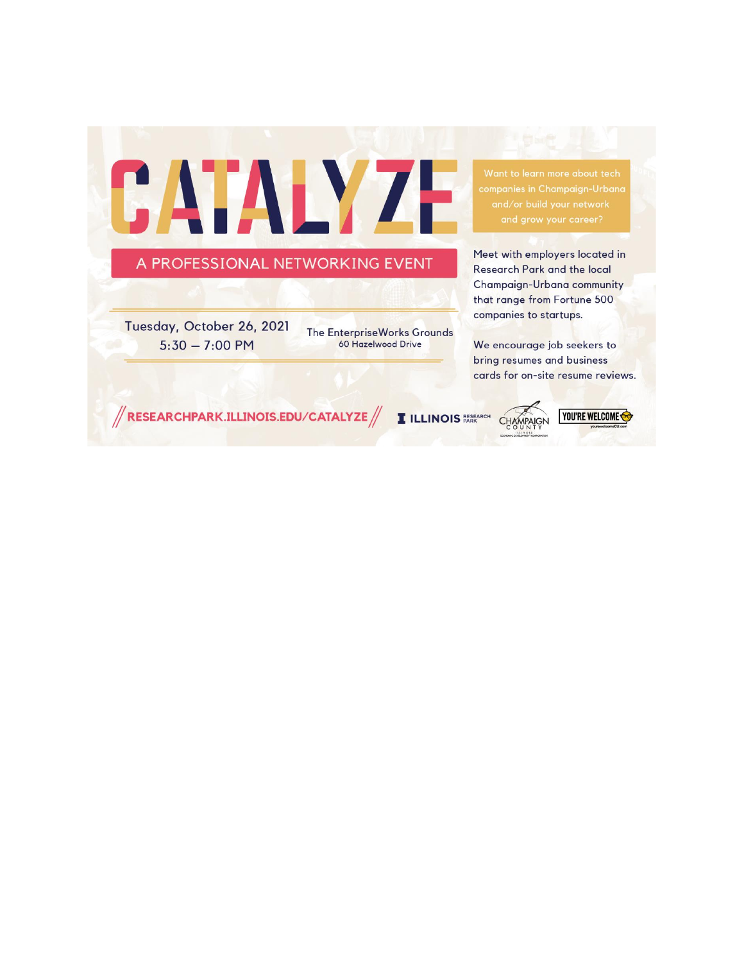

Want to learn more about tech

Meet with employers located in Research Park and the local Champaign-Urbana community that range from Fortune 500 companies to startups.

We encourage job seekers to bring resumes and business cards for on-site resume reviews.

 $\mathbin{\textcolor{red}{\textbf{''}}}$ RESEARCHPARK.ILLINOIS.EDU/CATALYZE $\mathbin{\textcolor{red}{\textbf{''}}}$ 

**I ILLINOIS RESEARCH** 

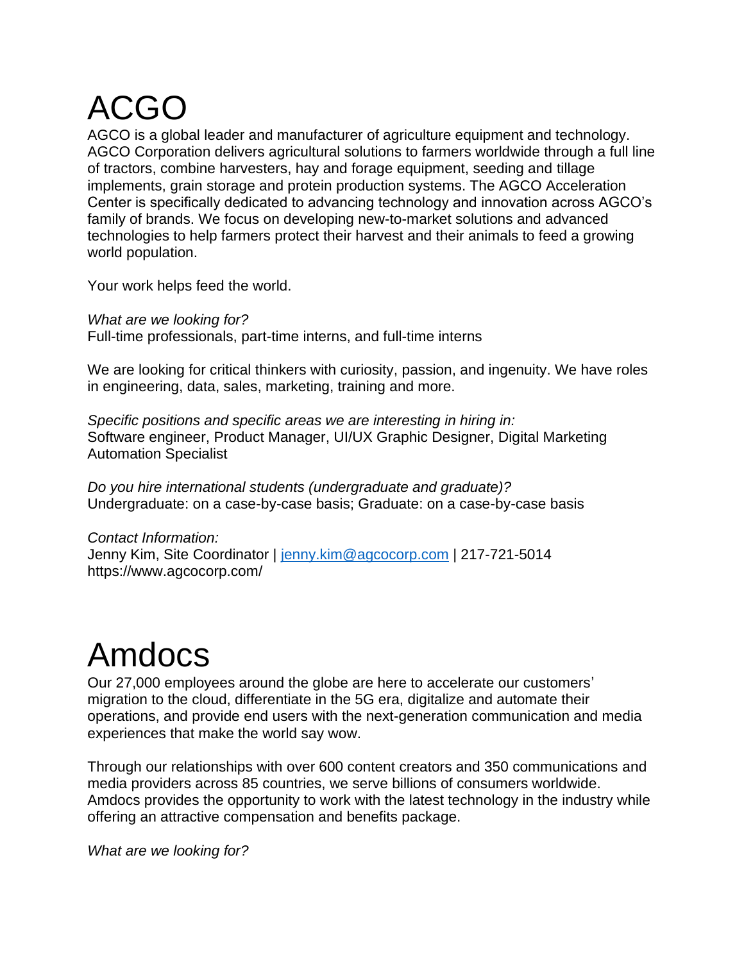# ACGO

AGCO is a global leader and manufacturer of agriculture equipment and technology. AGCO Corporation delivers agricultural solutions to farmers worldwide through a full line of tractors, combine harvesters, hay and forage equipment, seeding and tillage implements, grain storage and protein production systems. The AGCO Acceleration Center is specifically dedicated to advancing technology and innovation across AGCO's family of brands. We focus on developing new-to-market solutions and advanced technologies to help farmers protect their harvest and their animals to feed a growing world population.

Your work helps feed the world.

*What are we looking for?* Full-time professionals, part-time interns, and full-time interns

We are looking for critical thinkers with curiosity, passion, and ingenuity. We have roles in engineering, data, sales, marketing, training and more.

*Specific positions and specific areas we are interesting in hiring in:* Software engineer, Product Manager, UI/UX Graphic Designer, Digital Marketing Automation Specialist

*Do you hire international students (undergraduate and graduate)?* Undergraduate: on a case-by-case basis; Graduate: on a case-by-case basis

*Contact Information:* Jenny Kim, Site Coordinator | [jenny.kim@agcocorp.com](mailto:jenny.kim@agcocorp.com) | 217-721-5014 https://www.agcocorp.com/

# Amdocs

Our 27,000 employees around the globe are here to accelerate our customers' migration to the cloud, differentiate in the 5G era, digitalize and automate their operations, and provide end users with the next-generation communication and media experiences that make the world say wow.

Through our relationships with over 600 content creators and 350 communications and media providers across 85 countries, we serve billions of consumers worldwide. Amdocs provides the opportunity to work with the latest technology in the industry while offering an attractive compensation and benefits package.

*What are we looking for?*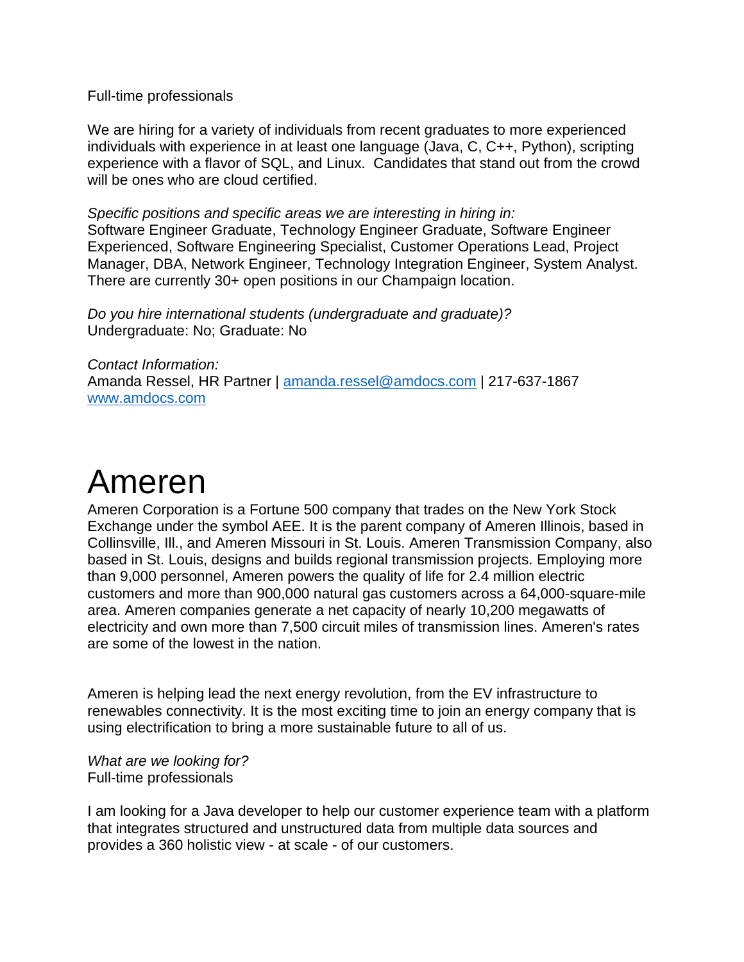Full-time professionals

We are hiring for a variety of individuals from recent graduates to more experienced individuals with experience in at least one language (Java, C, C++, Python), scripting experience with a flavor of SQL, and Linux. Candidates that stand out from the crowd will be ones who are cloud certified.

*Specific positions and specific areas we are interesting in hiring in:* Software Engineer Graduate, Technology Engineer Graduate, Software Engineer Experienced, Software Engineering Specialist, Customer Operations Lead, Project Manager, DBA, Network Engineer, Technology Integration Engineer, System Analyst. There are currently 30+ open positions in our Champaign location.

*Do you hire international students (undergraduate and graduate)?* Undergraduate: No; Graduate: No

*Contact Information:* Amanda Ressel, HR Partner | [amanda.ressel@amdocs.com](mailto:amanda.ressel@amdocs.com) | 217-637-1867 [www.amdocs.com](http://www.amdocs.com/)

#### Ameren

Ameren Corporation is a Fortune 500 company that trades on the New York Stock Exchange under the symbol AEE. It is the parent company of Ameren Illinois, based in Collinsville, Ill., and Ameren Missouri in St. Louis. Ameren Transmission Company, also based in St. Louis, designs and builds regional transmission projects. Employing more than 9,000 personnel, Ameren powers the quality of life for 2.4 million electric customers and more than 900,000 natural gas customers across a 64,000-square-mile area. Ameren companies generate a net capacity of nearly 10,200 megawatts of electricity and own more than 7,500 circuit miles of transmission lines. Ameren's rates are some of the lowest in the nation.

Ameren is helping lead the next energy revolution, from the EV infrastructure to renewables connectivity. It is the most exciting time to join an energy company that is using electrification to bring a more sustainable future to all of us.

*What are we looking for?* Full-time professionals

I am looking for a Java developer to help our customer experience team with a platform that integrates structured and unstructured data from multiple data sources and provides a 360 holistic view - at scale - of our customers.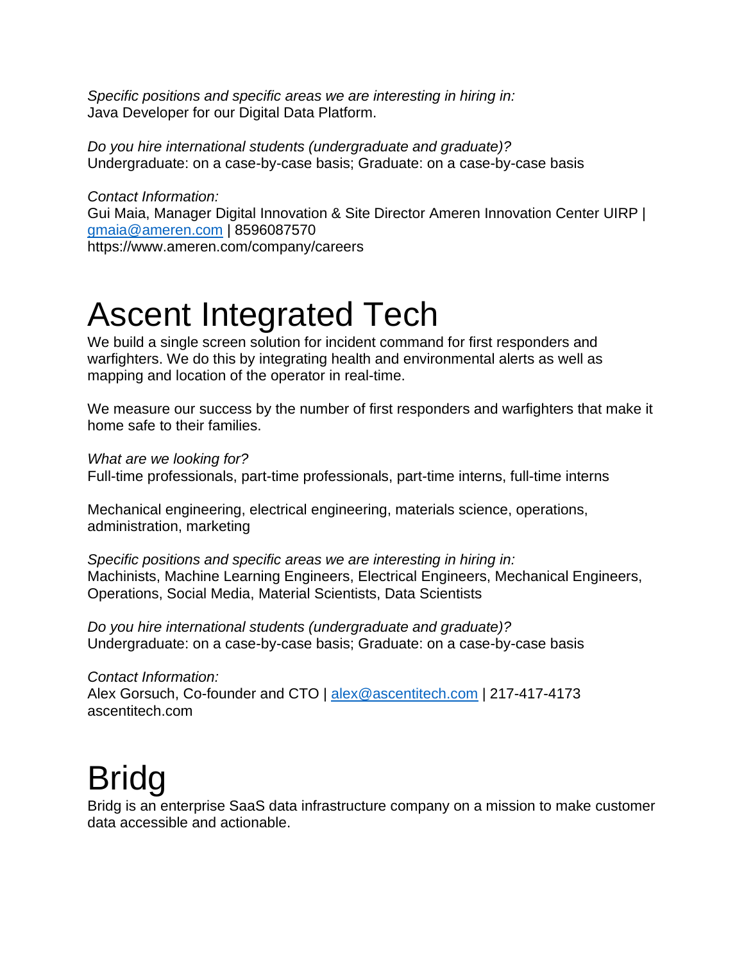*Specific positions and specific areas we are interesting in hiring in:* Java Developer for our Digital Data Platform.

*Do you hire international students (undergraduate and graduate)?* Undergraduate: on a case-by-case basis; Graduate: on a case-by-case basis

*Contact Information:* Gui Maia, Manager Digital Innovation & Site Director Ameren Innovation Center UIRP | [gmaia@ameren.com](mailto:gmaia@ameren.com) | 8596087570 https://www.ameren.com/company/careers

#### Ascent Integrated Tech

We build a single screen solution for incident command for first responders and warfighters. We do this by integrating health and environmental alerts as well as mapping and location of the operator in real-time.

We measure our success by the number of first responders and warfighters that make it home safe to their families.

*What are we looking for?*

Full-time professionals, part-time professionals, part-time interns, full-time interns

Mechanical engineering, electrical engineering, materials science, operations, administration, marketing

*Specific positions and specific areas we are interesting in hiring in:* Machinists, Machine Learning Engineers, Electrical Engineers, Mechanical Engineers, Operations, Social Media, Material Scientists, Data Scientists

*Do you hire international students (undergraduate and graduate)?* Undergraduate: on a case-by-case basis; Graduate: on a case-by-case basis

*Contact Information:* Alex Gorsuch, Co-founder and CTO | [alex@ascentitech.com](mailto:alex@ascentitech.com) | 217-417-4173 ascentitech.com

#### Bridg

Bridg is an enterprise SaaS data infrastructure company on a mission to make customer data accessible and actionable.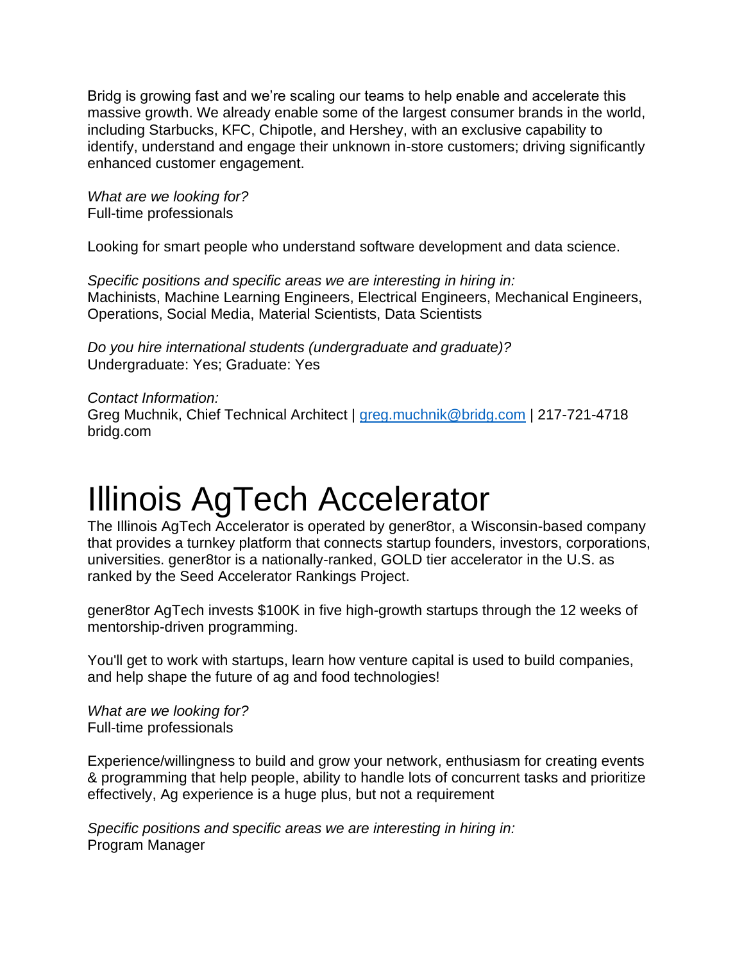Bridg is growing fast and we're scaling our teams to help enable and accelerate this massive growth. We already enable some of the largest consumer brands in the world, including Starbucks, KFC, Chipotle, and Hershey, with an exclusive capability to identify, understand and engage their unknown in-store customers; driving significantly enhanced customer engagement.

*What are we looking for?* Full-time professionals

Looking for smart people who understand software development and data science.

*Specific positions and specific areas we are interesting in hiring in:* Machinists, Machine Learning Engineers, Electrical Engineers, Mechanical Engineers, Operations, Social Media, Material Scientists, Data Scientists

*Do you hire international students (undergraduate and graduate)?* Undergraduate: Yes; Graduate: Yes

*Contact Information:* Greg Muchnik, Chief Technical Architect | [greg.muchnik@bridg.com](mailto:greg.muchnik@bridg.com) | 217-721-4718 bridg.com

## Illinois AgTech Accelerator

The Illinois AgTech Accelerator is operated by gener8tor, a Wisconsin-based company that provides a turnkey platform that connects startup founders, investors, corporations, universities. gener8tor is a nationally-ranked, GOLD tier accelerator in the U.S. as ranked by the Seed Accelerator Rankings Project.

gener8tor AgTech invests \$100K in five high-growth startups through the 12 weeks of mentorship-driven programming.

You'll get to work with startups, learn how venture capital is used to build companies, and help shape the future of ag and food technologies!

*What are we looking for?* Full-time professionals

Experience/willingness to build and grow your network, enthusiasm for creating events & programming that help people, ability to handle lots of concurrent tasks and prioritize effectively, Ag experience is a huge plus, but not a requirement

*Specific positions and specific areas we are interesting in hiring in:* Program Manager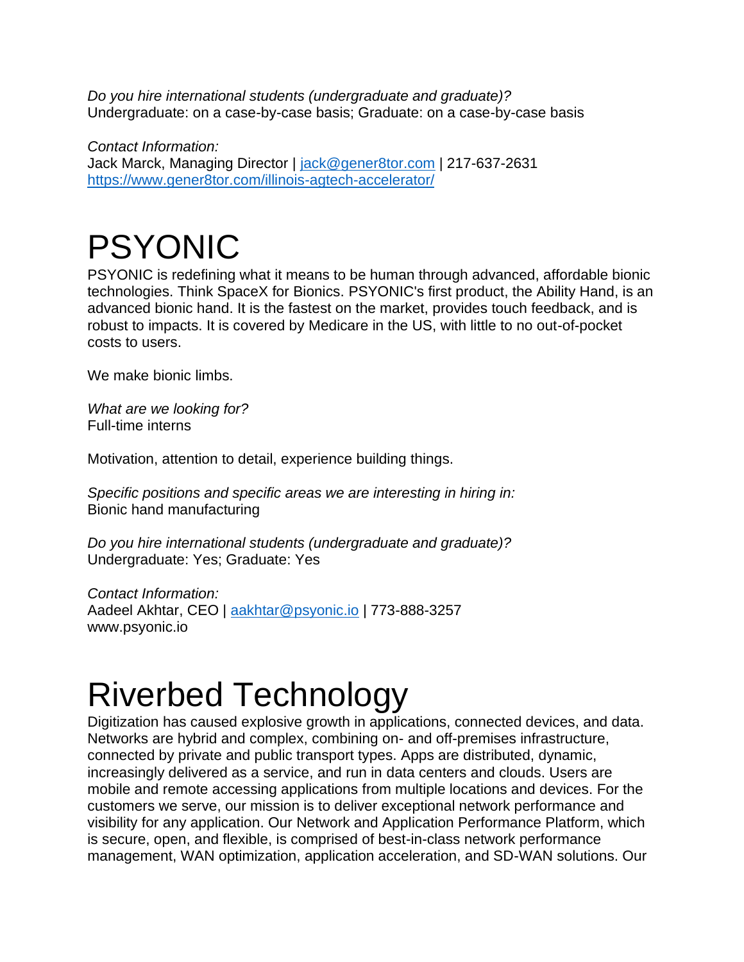*Do you hire international students (undergraduate and graduate)?* Undergraduate: on a case-by-case basis; Graduate: on a case-by-case basis

*Contact Information:* Jack Marck, Managing Director | [jack@gener8tor.com](mailto:jack@gener8tor.com) | 217-637-2631 <https://www.gener8tor.com/illinois-agtech-accelerator/>

## PSYONIC

PSYONIC is redefining what it means to be human through advanced, affordable bionic technologies. Think SpaceX for Bionics. PSYONIC's first product, the Ability Hand, is an advanced bionic hand. It is the fastest on the market, provides touch feedback, and is robust to impacts. It is covered by Medicare in the US, with little to no out-of-pocket costs to users.

We make bionic limbs.

*What are we looking for?* Full-time interns

Motivation, attention to detail, experience building things.

*Specific positions and specific areas we are interesting in hiring in:* Bionic hand manufacturing

*Do you hire international students (undergraduate and graduate)?* Undergraduate: Yes; Graduate: Yes

*Contact Information:* Aadeel Akhtar, CEO | [aakhtar@psyonic.io](mailto:aakhtar@psyonic.io) | 773-888-3257 www.psyonic.io

## Riverbed Technology

Digitization has caused explosive growth in applications, connected devices, and data. Networks are hybrid and complex, combining on- and off-premises infrastructure, connected by private and public transport types. Apps are distributed, dynamic, increasingly delivered as a service, and run in data centers and clouds. Users are mobile and remote accessing applications from multiple locations and devices. For the customers we serve, our mission is to deliver exceptional network performance and visibility for any application. Our Network and Application Performance Platform, which is secure, open, and flexible, is comprised of best-in-class network performance management, WAN optimization, application acceleration, and SD-WAN solutions. Our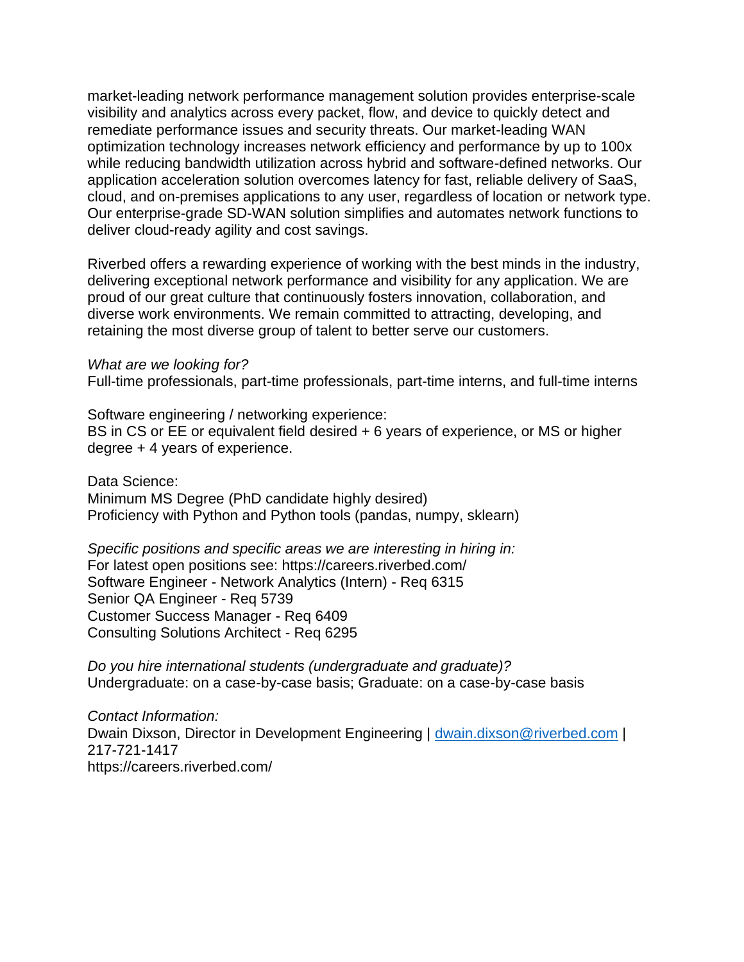market-leading network performance management solution provides enterprise-scale visibility and analytics across every packet, flow, and device to quickly detect and remediate performance issues and security threats. Our market-leading WAN optimization technology increases network efficiency and performance by up to 100x while reducing bandwidth utilization across hybrid and software-defined networks. Our application acceleration solution overcomes latency for fast, reliable delivery of SaaS, cloud, and on-premises applications to any user, regardless of location or network type. Our enterprise-grade SD-WAN solution simplifies and automates network functions to deliver cloud-ready agility and cost savings.

Riverbed offers a rewarding experience of working with the best minds in the industry, delivering exceptional network performance and visibility for any application. We are proud of our great culture that continuously fosters innovation, collaboration, and diverse work environments. We remain committed to attracting, developing, and retaining the most diverse group of talent to better serve our customers.

#### *What are we looking for?*

Full-time professionals, part-time professionals, part-time interns, and full-time interns

Software engineering / networking experience: BS in CS or EE or equivalent field desired + 6 years of experience, or MS or higher degree + 4 years of experience.

Data Science: Minimum MS Degree (PhD candidate highly desired) Proficiency with Python and Python tools (pandas, numpy, sklearn)

*Specific positions and specific areas we are interesting in hiring in:* For latest open positions see: https://careers.riverbed.com/ Software Engineer - Network Analytics (Intern) - Req 6315 Senior QA Engineer - Req 5739 Customer Success Manager - Req 6409 Consulting Solutions Architect - Req 6295

*Do you hire international students (undergraduate and graduate)?* Undergraduate: on a case-by-case basis; Graduate: on a case-by-case basis

*Contact Information:* Dwain Dixson, Director in Development Engineering | [dwain.dixson@riverbed.com](mailto:dwain.dixson@riverbed.com) | 217-721-1417 https://careers.riverbed.com/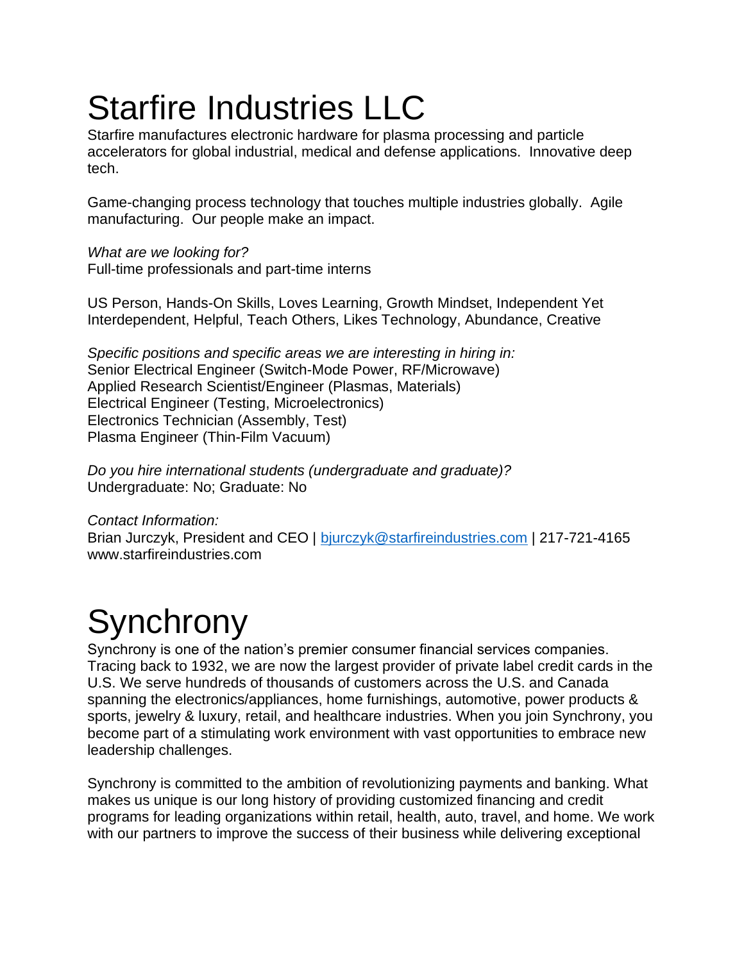# Starfire Industries LLC

Starfire manufactures electronic hardware for plasma processing and particle accelerators for global industrial, medical and defense applications. Innovative deep tech.

Game-changing process technology that touches multiple industries globally. Agile manufacturing. Our people make an impact.

*What are we looking for?* Full-time professionals and part-time interns

US Person, Hands-On Skills, Loves Learning, Growth Mindset, Independent Yet Interdependent, Helpful, Teach Others, Likes Technology, Abundance, Creative

*Specific positions and specific areas we are interesting in hiring in:* Senior Electrical Engineer (Switch-Mode Power, RF/Microwave) Applied Research Scientist/Engineer (Plasmas, Materials) Electrical Engineer (Testing, Microelectronics) Electronics Technician (Assembly, Test) Plasma Engineer (Thin-Film Vacuum)

*Do you hire international students (undergraduate and graduate)?* Undergraduate: No; Graduate: No

*Contact Information:* Brian Jurczyk, President and CEO | [bjurczyk@starfireindustries.com](mailto:bjurczyk@starfireindustries.com) | 217-721-4165 www.starfireindustries.com

# **Synchrony**

Synchrony is one of the nation's premier consumer financial services companies. Tracing back to 1932, we are now the largest provider of private label credit cards in the U.S. We serve hundreds of thousands of customers across the U.S. and Canada spanning the electronics/appliances, home furnishings, automotive, power products & sports, jewelry & luxury, retail, and healthcare industries. When you join Synchrony, you become part of a stimulating work environment with vast opportunities to embrace new leadership challenges.

Synchrony is committed to the ambition of revolutionizing payments and banking. What makes us unique is our long history of providing customized financing and credit programs for leading organizations within retail, health, auto, travel, and home. We work with our partners to improve the success of their business while delivering exceptional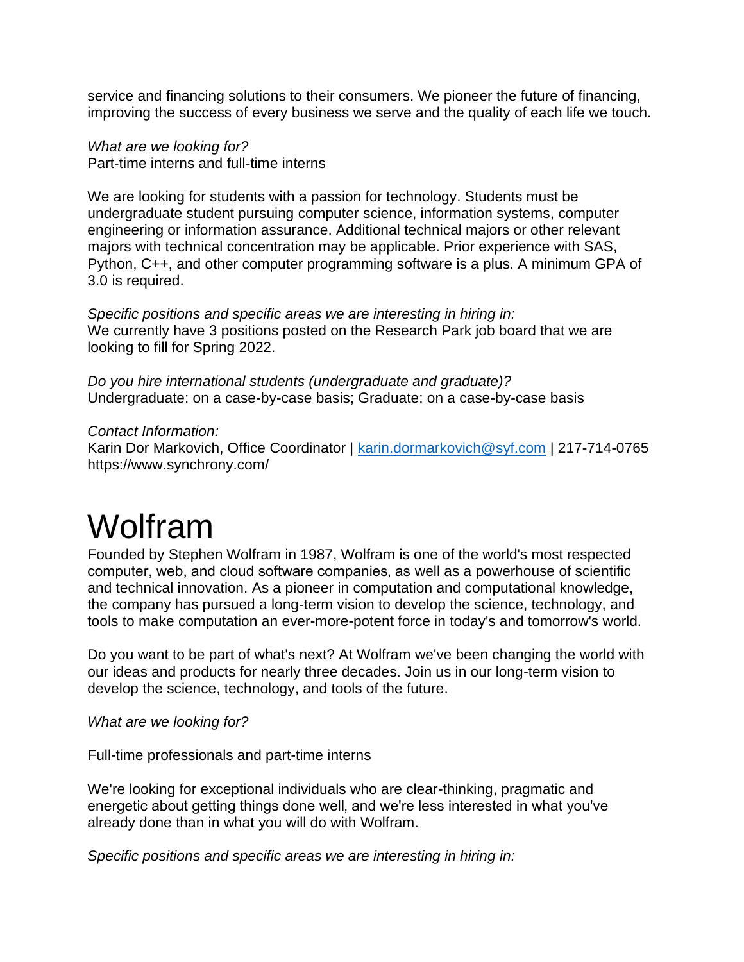service and financing solutions to their consumers. We pioneer the future of financing, improving the success of every business we serve and the quality of each life we touch.

*What are we looking for?* Part-time interns and full-time interns

We are looking for students with a passion for technology. Students must be undergraduate student pursuing computer science, information systems, computer engineering or information assurance. Additional technical majors or other relevant majors with technical concentration may be applicable. Prior experience with SAS, Python, C++, and other computer programming software is a plus. A minimum GPA of 3.0 is required.

*Specific positions and specific areas we are interesting in hiring in:* We currently have 3 positions posted on the Research Park job board that we are looking to fill for Spring 2022.

*Do you hire international students (undergraduate and graduate)?* Undergraduate: on a case-by-case basis; Graduate: on a case-by-case basis

*Contact Information:*

Karin Dor Markovich, Office Coordinator | [karin.dormarkovich@syf.com](mailto:karin.dormarkovich@syf.com) | 217-714-0765 https://www.synchrony.com/

## Wolfram

Founded by Stephen Wolfram in 1987, Wolfram is one of the world's most respected computer, web, and cloud software companies' as well as a powerhouse of scientific and technical innovation. As a pioneer in computation and computational knowledge, the company has pursued a long-term vision to develop the science, technology, and tools to make computation an ever-more-potent force in today's and tomorrow's world.

Do you want to be part of what's next? At Wolfram we've been changing the world with our ideas and products for nearly three decades. Join us in our long-term vision to develop the science, technology, and tools of the future.

*What are we looking for?*

Full-time professionals and part-time interns

We're looking for exceptional individuals who are clear-thinking, pragmatic and energetic about getting things done well, and we're less interested in what you've already done than in what you will do with Wolfram.

*Specific positions and specific areas we are interesting in hiring in:*